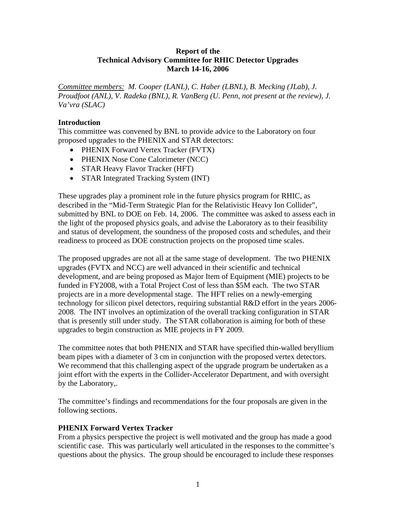## **Report of the Technical Advisory Committee for RHIC Detector Upgrades March 14-16, 2006**

*Committee members: M. Cooper (LANL), C. Haber (LBNL), B. Mecking (JLab), J. Proudfoot (ANL), V. Radeka (BNL), R. VanBerg (U. Penn, not present at the review), J. Va'vra (SLAC)* 

## **Introduction**

This committee was convened by BNL to provide advice to the Laboratory on four proposed upgrades to the PHENIX and STAR detectors:

- PHENIX Forward Vertex Tracker (FVTX)
- PHENIX Nose Cone Calorimeter (NCC)
- STAR Heavy Flavor Tracker (HFT)
- STAR Integrated Tracking System (INT)

These upgrades play a prominent role in the future physics program for RHIC, as described in the "Mid-Term Strategic Plan for the Relativistic Heavy Ion Collider", submitted by BNL to DOE on Feb. 14, 2006. The committee was asked to assess each in the light of the proposed physics goals, and advise the Laboratory as to their feasibility and status of development, the soundness of the proposed costs and schedules, and their readiness to proceed as DOE construction projects on the proposed time scales.

The proposed upgrades are not all at the same stage of development. The two PHENIX upgrades (FVTX and NCC) are well advanced in their scientific and technical development, and are being proposed as Major Item of Equipment (MIE) projects to be funded in FY2008, with a Total Project Cost of less than \$5M each. The two STAR projects are in a more developmental stage. The HFT relies on a newly-emerging technology for silicon pixel detectors, requiring substantial R&D effort in the years 2006- 2008. The INT involves an optimization of the overall tracking configuration in STAR that is presently still under study. The STAR collaboration is aiming for both of these upgrades to begin construction as MIE projects in FY 2009.

The committee notes that both PHENIX and STAR have specified thin-walled beryllium beam pipes with a diameter of 3 cm in conjunction with the proposed vertex detectors. We recommend that this challenging aspect of the upgrade program be undertaken as a joint effort with the experts in the Collider-Accelerator Department, and with oversight by the Laboratory,.

The committee's findings and recommendations for the four proposals are given in the following sections.

# **PHENIX Forward Vertex Tracker**

From a physics perspective the project is well motivated and the group has made a good scientific case. This was particularly well articulated in the responses to the committee's questions about the physics. The group should be encouraged to include these responses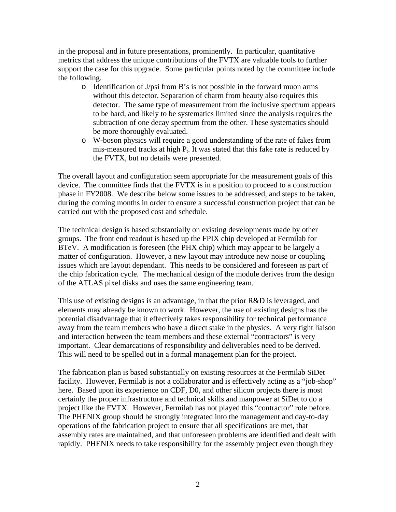in the proposal and in future presentations, prominently. In particular, quantitative metrics that address the unique contributions of the FVTX are valuable tools to further support the case for this upgrade. Some particular points noted by the committee include the following.

- o Identification of J/psi from B's is not possible in the forward muon arms without this detector. Separation of charm from beauty also requires this detector. The same type of measurement from the inclusive spectrum appears to be hard, and likely to be systematics limited since the analysis requires the subtraction of one decay spectrum from the other. These systematics should be more thoroughly evaluated.
- o W-boson physics will require a good understanding of the rate of fakes from mis-measured tracks at high  $P_t$ . It was stated that this fake rate is reduced by the FVTX, but no details were presented.

The overall layout and configuration seem appropriate for the measurement goals of this device. The committee finds that the FVTX is in a position to proceed to a construction phase in FY2008. We describe below some issues to be addressed, and steps to be taken, during the coming months in order to ensure a successful construction project that can be carried out with the proposed cost and schedule.

The technical design is based substantially on existing developments made by other groups. The front end readout is based up the FPIX chip developed at Fermilab for BTeV. A modification is foreseen (the PHX chip) which may appear to be largely a matter of configuration. However, a new layout may introduce new noise or coupling issues which are layout dependant. This needs to be considered and foreseen as part of the chip fabrication cycle. The mechanical design of the module derives from the design of the ATLAS pixel disks and uses the same engineering team.

This use of existing designs is an advantage, in that the prior R&D is leveraged, and elements may already be known to work. However, the use of existing designs has the potential disadvantage that it effectively takes responsibility for technical performance away from the team members who have a direct stake in the physics. A very tight liaison and interaction between the team members and these external "contractors" is very important. Clear demarcations of responsibility and deliverables need to be derived. This will need to be spelled out in a formal management plan for the project.

The fabrication plan is based substantially on existing resources at the Fermilab SiDet facility. However, Fermilab is not a collaborator and is effectively acting as a "job-shop" here. Based upon its experience on CDF, D0, and other silicon projects there is most certainly the proper infrastructure and technical skills and manpower at SiDet to do a project like the FVTX. However, Fermilab has not played this "contractor" role before. The PHENIX group should be strongly integrated into the management and day-to-day operations of the fabrication project to ensure that all specifications are met, that assembly rates are maintained, and that unforeseen problems are identified and dealt with rapidly. PHENIX needs to take responsibility for the assembly project even though they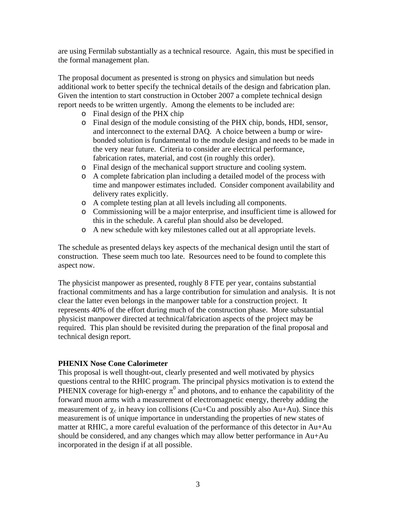are using Fermilab substantially as a technical resource. Again, this must be specified in the formal management plan.

The proposal document as presented is strong on physics and simulation but needs additional work to better specify the technical details of the design and fabrication plan. Given the intention to start construction in October 2007 a complete technical design report needs to be written urgently. Among the elements to be included are:

- o Final design of the PHX chip
- o Final design of the module consisting of the PHX chip, bonds, HDI, sensor, and interconnect to the external DAQ. A choice between a bump or wirebonded solution is fundamental to the module design and needs to be made in the very near future. Criteria to consider are electrical performance, fabrication rates, material, and cost (in roughly this order).
- o Final design of the mechanical support structure and cooling system.
- o A complete fabrication plan including a detailed model of the process with time and manpower estimates included. Consider component availability and delivery rates explicitly.
- o A complete testing plan at all levels including all components.
- o Commissioning will be a major enterprise, and insufficient time is allowed for this in the schedule. A careful plan should also be developed.
- o A new schedule with key milestones called out at all appropriate levels.

The schedule as presented delays key aspects of the mechanical design until the start of construction. These seem much too late. Resources need to be found to complete this aspect now.

The physicist manpower as presented, roughly 8 FTE per year, contains substantial fractional commitments and has a large contribution for simulation and analysis. It is not clear the latter even belongs in the manpower table for a construction project. It represents 40% of the effort during much of the construction phase. More substantial physicist manpower directed at technical/fabrication aspects of the project may be required. This plan should be revisited during the preparation of the final proposal and technical design report.

### **PHENIX Nose Cone Calorimeter**

This proposal is well thought-out, clearly presented and well motivated by physics questions central to the RHIC program. The principal physics motivation is to extend the PHENIX coverage for high-energy  $\pi^0$  and photons, and to enhance the capabilitity of the forward muon arms with a measurement of electromagnetic energy, thereby adding the measurement of  $\chi_c$  in heavy ion collisions (Cu+Cu and possibly also Au+Au). Since this measurement is of unique importance in understanding the properties of new states of matter at RHIC, a more careful evaluation of the performance of this detector in Au+Au should be considered, and any changes which may allow better performance in Au+Au incorporated in the design if at all possible.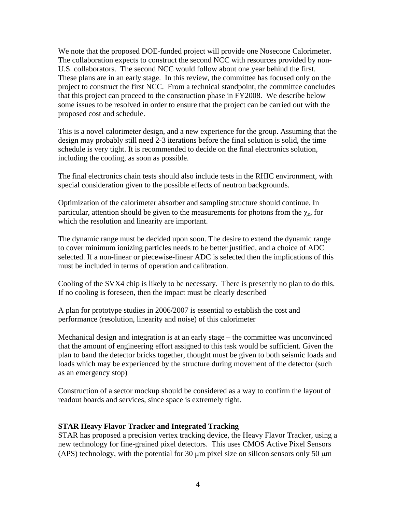We note that the proposed DOE-funded project will provide one Nosecone Calorimeter. The collaboration expects to construct the second NCC with resources provided by non-U.S. collaborators. The second NCC would follow about one year behind the first. These plans are in an early stage. In this review, the committee has focused only on the project to construct the first NCC. From a technical standpoint, the committee concludes that this project can proceed to the construction phase in FY2008. We describe below some issues to be resolved in order to ensure that the project can be carried out with the proposed cost and schedule.

This is a novel calorimeter design, and a new experience for the group. Assuming that the design may probably still need 2-3 iterations before the final solution is solid, the time schedule is very tight. It is recommended to decide on the final electronics solution, including the cooling, as soon as possible.

The final electronics chain tests should also include tests in the RHIC environment, with special consideration given to the possible effects of neutron backgrounds.

Optimization of the calorimeter absorber and sampling structure should continue. In particular, attention should be given to the measurements for photons from the  $\chi_c$ , for which the resolution and linearity are important.

The dynamic range must be decided upon soon. The desire to extend the dynamic range to cover minimum ionizing particles needs to be better justified, and a choice of ADC selected. If a non-linear or piecewise-linear ADC is selected then the implications of this must be included in terms of operation and calibration.

Cooling of the SVX4 chip is likely to be necessary. There is presently no plan to do this. If no cooling is foreseen, then the impact must be clearly described

A plan for prototype studies in 2006/2007 is essential to establish the cost and performance (resolution, linearity and noise) of this calorimeter

Mechanical design and integration is at an early stage – the committee was unconvinced that the amount of engineering effort assigned to this task would be sufficient. Given the plan to band the detector bricks together, thought must be given to both seismic loads and loads which may be experienced by the structure during movement of the detector (such as an emergency stop)

Construction of a sector mockup should be considered as a way to confirm the layout of readout boards and services, since space is extremely tight.

### **STAR Heavy Flavor Tracker and Integrated Tracking**

STAR has proposed a precision vertex tracking device, the Heavy Flavor Tracker, using a new technology for fine-grained pixel detectors. This uses CMOS Active Pixel Sensors (APS) technology, with the potential for 30 μm pixel size on silicon sensors only 50 μm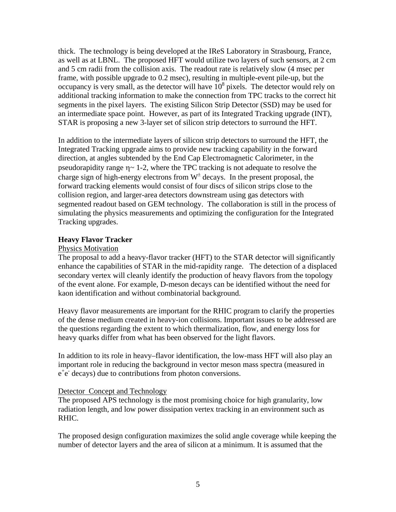thick. The technology is being developed at the IReS Laboratory in Strasbourg, France, as well as at LBNL. The proposed HFT would utilize two layers of such sensors, at 2 cm and 5 cm radii from the collision axis. The readout rate is relatively slow (4 msec per frame, with possible upgrade to 0.2 msec), resulting in multiple-event pile-up, but the occupancy is very small, as the detector will have  $10^8$  pixels. The detector would rely on additional tracking information to make the connection from TPC tracks to the correct hit segments in the pixel layers. The existing Silicon Strip Detector (SSD) may be used for an intermediate space point. However, as part of its Integrated Tracking upgrade (INT), STAR is proposing a new 3-layer set of silicon strip detectors to surround the HFT.

In addition to the intermediate layers of silicon strip detectors to surround the HFT, the Integrated Tracking upgrade aims to provide new tracking capability in the forward direction, at angles subtended by the End Cap Electromagnetic Calorimeter, in the pseudorapidity range  $\eta \sim 1$ -2, where the TPC tracking is not adequate to resolve the charge sign of high-energy electrons from  $W^{\pm}$  decays. In the present proposal, the forward tracking elements would consist of four discs of silicon strips close to the collision region, and larger-area detectors downstream using gas detectors with segmented readout based on GEM technology. The collaboration is still in the process of simulating the physics measurements and optimizing the configuration for the Integrated Tracking upgrades.

### **Heavy Flavor Tracker**

#### Physics Motivation

The proposal to add a heavy-flavor tracker (HFT) to the STAR detector will significantly enhance the capabilities of STAR in the mid-rapidity range. The detection of a displaced secondary vertex will cleanly identify the production of heavy flavors from the topology of the event alone. For example, D-meson decays can be identified without the need for kaon identification and without combinatorial background.

Heavy flavor measurements are important for the RHIC program to clarify the properties of the dense medium created in heavy-ion collisions. Important issues to be addressed are the questions regarding the extent to which thermalization, flow, and energy loss for heavy quarks differ from what has been observed for the light flavors.

In addition to its role in heavy–flavor identification, the low-mass HFT will also play an important role in reducing the background in vector meson mass spectra (measured in  $e^+e^-$  decays) due to contributions from photon conversions.

### Detector Concept and Technology

The proposed APS technology is the most promising choice for high granularity, low radiation length, and low power dissipation vertex tracking in an environment such as RHIC.

The proposed design configuration maximizes the solid angle coverage while keeping the number of detector layers and the area of silicon at a minimum. It is assumed that the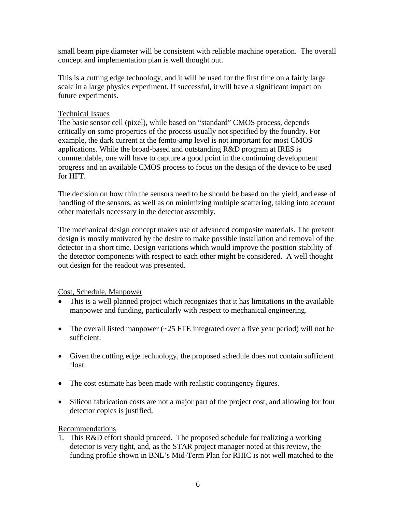small beam pipe diameter will be consistent with reliable machine operation. The overall concept and implementation plan is well thought out.

This is a cutting edge technology, and it will be used for the first time on a fairly large scale in a large physics experiment. If successful, it will have a significant impact on future experiments.

## Technical Issues

The basic sensor cell (pixel), while based on "standard" CMOS process, depends critically on some properties of the process usually not specified by the foundry. For example, the dark current at the femto-amp level is not important for most CMOS applications. While the broad-based and outstanding R&D program at IRES is commendable, one will have to capture a good point in the continuing development progress and an available CMOS process to focus on the design of the device to be used for HFT.

The decision on how thin the sensors need to be should be based on the yield, and ease of handling of the sensors, as well as on minimizing multiple scattering, taking into account other materials necessary in the detector assembly.

The mechanical design concept makes use of advanced composite materials. The present design is mostly motivated by the desire to make possible installation and removal of the detector in a short time. Design variations which would improve the position stability of the detector components with respect to each other might be considered. A well thought out design for the readout was presented.

Cost, Schedule, Manpower

- This is a well planned project which recognizes that it has limitations in the available manpower and funding, particularly with respect to mechanical engineering.
- The overall listed manpower  $\sim$  25 FTE integrated over a five year period) will not be sufficient.
- Given the cutting edge technology, the proposed schedule does not contain sufficient float.
- The cost estimate has been made with realistic contingency figures.
- Silicon fabrication costs are not a major part of the project cost, and allowing for four detector copies is justified.

# Recommendations

1. This R&D effort should proceed. The proposed schedule for realizing a working detector is very tight, and, as the STAR project manager noted at this review, the funding profile shown in BNL's Mid-Term Plan for RHIC is not well matched to the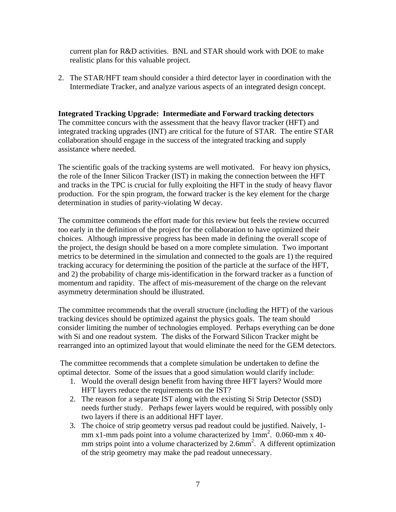current plan for R&D activities. BNL and STAR should work with DOE to make realistic plans for this valuable project.

2. The STAR/HFT team should consider a third detector layer in coordination with the Intermediate Tracker, and analyze various aspects of an integrated design concept.

## **Integrated Tracking Upgrade: Intermediate and Forward tracking detectors** The committee concurs with the assessment that the heavy flavor tracker (HFT) and integrated tracking upgrades (INT) are critical for the future of STAR. The entire STAR collaboration should engage in the success of the integrated tracking and supply assistance where needed.

The scientific goals of the tracking systems are well motivated. For heavy ion physics, the role of the Inner Silicon Tracker (IST) in making the connection between the HFT and tracks in the TPC is crucial for fully exploiting the HFT in the study of heavy flavor production. For the spin program, the forward tracker is the key element for the charge determination in studies of parity-violating W decay.

The committee commends the effort made for this review but feels the review occurred too early in the definition of the project for the collaboration to have optimized their choices. Although impressive progress has been made in defining the overall scope of the project, the design should be based on a more complete simulation. Two important metrics to be determined in the simulation and connected to the goals are 1) the required tracking accuracy for determining the position of the particle at the surface of the HFT, and 2) the probability of charge mis-identification in the forward tracker as a function of momentum and rapidity. The affect of mis-measurement of the charge on the relevant asymmetry determination should be illustrated.

The committee recommends that the overall structure (including the HFT) of the various tracking devices should be optimized against the physics goals. The team should consider limiting the number of technologies employed.Perhaps everything can be done with Si and one readout system. The disks of the Forward Silicon Tracker might be rearranged into an optimized layout that would eliminate the need for the GEM detectors.

 The committee recommends that a complete simulation be undertaken to define the optimal detector.Some of the issues that a good simulation would clarify include:

- 1. Would the overall design benefit from having three HFT layers? Would more HFT layers reduce the requirements on the IST?
- 2. The reason for a separate IST along with the existing Si Strip Detector (SSD) needs further study. Perhaps fewer layers would be required, with possibly only two layers if there is an additional HFT layer.
- 3. The choice of strip geometry versus pad readout could be justified. Naively, 1 mm x1-mm pads point into a volume characterized by  $1mm^2$ . 0.060-mm x 40mm strips point into a volume characterized by  $2.6$ mm<sup>2</sup>. A different optimization of the strip geometry may make the pad readout unnecessary.